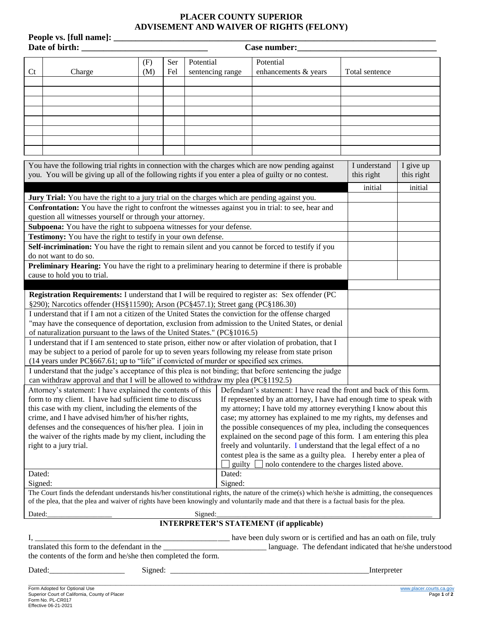## **PLACER COUNTY SUPERIOR ADVISEMENT AND WAIVER OF RIGHTS (FELONY)**

**People vs. [full name]: \_\_\_\_\_\_\_\_\_\_\_\_\_\_\_\_\_\_\_\_\_\_\_\_\_\_\_\_\_\_\_\_\_\_\_\_\_\_\_\_\_\_\_\_\_\_\_\_\_\_\_\_\_\_\_\_\_\_\_\_\_\_\_\_\_\_\_\_\_\_\_\_\_\_**

| <b>Case number:</b> |  |
|---------------------|--|
|                     |  |

|                                                                                                                                    | Date of birth:<br>Case number:                                                                                                                                                                                                                           |     |     |                  |                                                                                                                                                                                                                                                                                             |                |            |  |  |
|------------------------------------------------------------------------------------------------------------------------------------|----------------------------------------------------------------------------------------------------------------------------------------------------------------------------------------------------------------------------------------------------------|-----|-----|------------------|---------------------------------------------------------------------------------------------------------------------------------------------------------------------------------------------------------------------------------------------------------------------------------------------|----------------|------------|--|--|
|                                                                                                                                    |                                                                                                                                                                                                                                                          | (F) | Ser | Potential        | Potential                                                                                                                                                                                                                                                                                   |                |            |  |  |
| Ct                                                                                                                                 | Charge                                                                                                                                                                                                                                                   | (M) | Fel | sentencing range | enhancements & years                                                                                                                                                                                                                                                                        | Total sentence |            |  |  |
|                                                                                                                                    |                                                                                                                                                                                                                                                          |     |     |                  |                                                                                                                                                                                                                                                                                             |                |            |  |  |
|                                                                                                                                    |                                                                                                                                                                                                                                                          |     |     |                  |                                                                                                                                                                                                                                                                                             |                |            |  |  |
|                                                                                                                                    |                                                                                                                                                                                                                                                          |     |     |                  |                                                                                                                                                                                                                                                                                             |                |            |  |  |
|                                                                                                                                    |                                                                                                                                                                                                                                                          |     |     |                  |                                                                                                                                                                                                                                                                                             |                |            |  |  |
|                                                                                                                                    |                                                                                                                                                                                                                                                          |     |     |                  |                                                                                                                                                                                                                                                                                             |                |            |  |  |
|                                                                                                                                    |                                                                                                                                                                                                                                                          |     |     |                  |                                                                                                                                                                                                                                                                                             |                |            |  |  |
|                                                                                                                                    |                                                                                                                                                                                                                                                          |     |     |                  |                                                                                                                                                                                                                                                                                             |                |            |  |  |
|                                                                                                                                    |                                                                                                                                                                                                                                                          |     |     |                  |                                                                                                                                                                                                                                                                                             |                |            |  |  |
|                                                                                                                                    | You have the following trial rights in connection with the charges which are now pending against                                                                                                                                                         |     |     |                  |                                                                                                                                                                                                                                                                                             | I understand   | I give up  |  |  |
|                                                                                                                                    | you. You will be giving up all of the following rights if you enter a plea of guilty or no contest.                                                                                                                                                      |     |     |                  |                                                                                                                                                                                                                                                                                             | this right     | this right |  |  |
|                                                                                                                                    |                                                                                                                                                                                                                                                          |     |     |                  |                                                                                                                                                                                                                                                                                             | initial        | initial    |  |  |
|                                                                                                                                    | <b>Jury Trial:</b> You have the right to a jury trial on the charges which are pending against you.                                                                                                                                                      |     |     |                  |                                                                                                                                                                                                                                                                                             |                |            |  |  |
| <b>Confrontation:</b> You have the right to confront the witnesses against you in trial: to see, hear and                          |                                                                                                                                                                                                                                                          |     |     |                  |                                                                                                                                                                                                                                                                                             |                |            |  |  |
|                                                                                                                                    | question all witnesses yourself or through your attorney.                                                                                                                                                                                                |     |     |                  |                                                                                                                                                                                                                                                                                             |                |            |  |  |
|                                                                                                                                    | Subpoena: You have the right to subpoena witnesses for your defense.                                                                                                                                                                                     |     |     |                  |                                                                                                                                                                                                                                                                                             |                |            |  |  |
|                                                                                                                                    | Testimony: You have the right to testify in your own defense.                                                                                                                                                                                            |     |     |                  |                                                                                                                                                                                                                                                                                             |                |            |  |  |
| Self-incrimination: You have the right to remain silent and you cannot be forced to testify if you                                 |                                                                                                                                                                                                                                                          |     |     |                  |                                                                                                                                                                                                                                                                                             |                |            |  |  |
| do not want to do so.<br><b>Preliminary Hearing:</b> You have the right to a preliminary hearing to determine if there is probable |                                                                                                                                                                                                                                                          |     |     |                  |                                                                                                                                                                                                                                                                                             |                |            |  |  |
|                                                                                                                                    | cause to hold you to trial.                                                                                                                                                                                                                              |     |     |                  |                                                                                                                                                                                                                                                                                             |                |            |  |  |
|                                                                                                                                    |                                                                                                                                                                                                                                                          |     |     |                  |                                                                                                                                                                                                                                                                                             |                |            |  |  |
| Registration Requirements: I understand that I will be required to register as: Sex offender (PC                                   |                                                                                                                                                                                                                                                          |     |     |                  |                                                                                                                                                                                                                                                                                             |                |            |  |  |
| §290); Narcotics offender (HS§11590); Arson (PC§457.1); Street gang (PC§186.30)                                                    |                                                                                                                                                                                                                                                          |     |     |                  |                                                                                                                                                                                                                                                                                             |                |            |  |  |
| I understand that if I am not a citizen of the United States the conviction for the offense charged                                |                                                                                                                                                                                                                                                          |     |     |                  |                                                                                                                                                                                                                                                                                             |                |            |  |  |
| "may have the consequence of deportation, exclusion from admission to the United States, or denial                                 |                                                                                                                                                                                                                                                          |     |     |                  |                                                                                                                                                                                                                                                                                             |                |            |  |  |
| of naturalization pursuant to the laws of the United States." (PC§1016.5)                                                          |                                                                                                                                                                                                                                                          |     |     |                  |                                                                                                                                                                                                                                                                                             |                |            |  |  |
| I understand that if I am sentenced to state prison, either now or after violation of probation, that I                            |                                                                                                                                                                                                                                                          |     |     |                  |                                                                                                                                                                                                                                                                                             |                |            |  |  |
| may be subject to a period of parole for up to seven years following my release from state prison                                  |                                                                                                                                                                                                                                                          |     |     |                  |                                                                                                                                                                                                                                                                                             |                |            |  |  |
|                                                                                                                                    | (14 years under PC§667.61; up to "life" if convicted of murder or specified sex crimes.                                                                                                                                                                  |     |     |                  |                                                                                                                                                                                                                                                                                             |                |            |  |  |
| I understand that the judge's acceptance of this plea is not binding; that before sentencing the judge                             |                                                                                                                                                                                                                                                          |     |     |                  |                                                                                                                                                                                                                                                                                             |                |            |  |  |
|                                                                                                                                    | can withdraw approval and that I will be allowed to withdraw my plea (PC§1192.5)                                                                                                                                                                         |     |     |                  |                                                                                                                                                                                                                                                                                             |                |            |  |  |
|                                                                                                                                    | Attorney's statement: I have explained the contents of this Defendant's statement: I have read the front and back of this form.                                                                                                                          |     |     |                  |                                                                                                                                                                                                                                                                                             |                |            |  |  |
|                                                                                                                                    | form to my client. I have had sufficient time to discuss If represented by an attorney, I have had enough time to speak with                                                                                                                             |     |     |                  |                                                                                                                                                                                                                                                                                             |                |            |  |  |
|                                                                                                                                    | this case with my client, including the elements of the<br>my attorney; I have told my attorney everything I know about this<br>case; my attorney has explained to me my rights, my defenses and<br>crime, and I have advised him/her of his/her rights, |     |     |                  |                                                                                                                                                                                                                                                                                             |                |            |  |  |
|                                                                                                                                    | defenses and the consequences of his/her plea. I join in<br>the possible consequences of my plea, including the consequences                                                                                                                             |     |     |                  |                                                                                                                                                                                                                                                                                             |                |            |  |  |
|                                                                                                                                    | the waiver of the rights made by my client, including the<br>explained on the second page of this form. I am entering this plea                                                                                                                          |     |     |                  |                                                                                                                                                                                                                                                                                             |                |            |  |  |
|                                                                                                                                    | freely and voluntarily. I understand that the legal effect of a no<br>right to a jury trial.                                                                                                                                                             |     |     |                  |                                                                                                                                                                                                                                                                                             |                |            |  |  |
|                                                                                                                                    |                                                                                                                                                                                                                                                          |     |     |                  | contest plea is the same as a guilty plea. I hereby enter a plea of                                                                                                                                                                                                                         |                |            |  |  |
|                                                                                                                                    |                                                                                                                                                                                                                                                          |     |     |                  | guilty $\Box$ nolo contendere to the charges listed above.                                                                                                                                                                                                                                  |                |            |  |  |
| Dated:                                                                                                                             |                                                                                                                                                                                                                                                          |     |     | Dated:           |                                                                                                                                                                                                                                                                                             |                |            |  |  |
| Signed:                                                                                                                            |                                                                                                                                                                                                                                                          |     |     | Signed:          |                                                                                                                                                                                                                                                                                             |                |            |  |  |
|                                                                                                                                    |                                                                                                                                                                                                                                                          |     |     |                  | The Court finds the defendant understands his/her constitutional rights, the nature of the crime(s) which he/she is admitting, the consequences<br>of the plea, that the plea and waiver of rights have been knowingly and voluntarily made and that there is a factual basis for the plea. |                |            |  |  |
| Dated:                                                                                                                             |                                                                                                                                                                                                                                                          |     |     | Signed:          |                                                                                                                                                                                                                                                                                             |                |            |  |  |
|                                                                                                                                    |                                                                                                                                                                                                                                                          |     |     |                  | <b>INTERPRETER'S STATEMENT (if applicable)</b>                                                                                                                                                                                                                                              |                |            |  |  |
|                                                                                                                                    |                                                                                                                                                                                                                                                          |     |     |                  | have been duly sworn or is certified and has an oath on file, truly                                                                                                                                                                                                                         |                |            |  |  |
|                                                                                                                                    | translated this form to the defendant in the                                                                                                                                                                                                             |     |     |                  | language. The defendant indicated that he/she understood                                                                                                                                                                                                                                    |                |            |  |  |

the contents of the form and he/she then completed the form.

Dated:\_\_\_\_\_\_\_\_\_\_\_\_\_\_\_\_\_\_\_ Signed: \_\_\_\_\_\_\_\_\_\_\_\_\_\_\_\_\_\_\_\_\_\_\_\_\_\_\_\_\_\_\_\_\_\_\_\_\_\_\_\_\_\_\_\_\_\_\_\_\_\_Interpreter